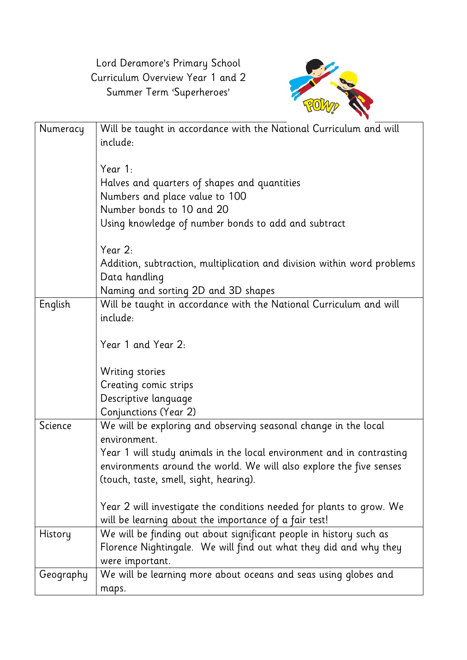Lord Deramore's Primary School Curriculum Overview Year 1 and 2 Summer Term 'Superheroes'



| Numeracy  | Will be taught in accordance with the National Curriculum and will<br>include:<br>Year $1$ :<br>Halves and quarters of shapes and quantities<br>Numbers and place value to 100<br>Number bonds to 10 and 20<br>Using knowledge of number bonds to add and subtract<br>Year $2$ :<br>Addition, subtraction, multiplication and division within word problems<br>Data handling<br>Naming and sorting 2D and 3D shapes |
|-----------|---------------------------------------------------------------------------------------------------------------------------------------------------------------------------------------------------------------------------------------------------------------------------------------------------------------------------------------------------------------------------------------------------------------------|
| English   | Will be taught in accordance with the National Curriculum and will                                                                                                                                                                                                                                                                                                                                                  |
|           | include:                                                                                                                                                                                                                                                                                                                                                                                                            |
|           | Year 1 and Year 2:                                                                                                                                                                                                                                                                                                                                                                                                  |
|           | Writing stories                                                                                                                                                                                                                                                                                                                                                                                                     |
|           | Creating comic strips                                                                                                                                                                                                                                                                                                                                                                                               |
|           | Descriptive language                                                                                                                                                                                                                                                                                                                                                                                                |
|           | Conjunctions (Year 2)                                                                                                                                                                                                                                                                                                                                                                                               |
| Science   | We will be exploring and observing seasonal change in the local                                                                                                                                                                                                                                                                                                                                                     |
|           | environment.                                                                                                                                                                                                                                                                                                                                                                                                        |
|           | Year 1 will study animals in the local environment and in contrasting<br>environments around the world. We will also explore the five senses                                                                                                                                                                                                                                                                        |
|           | (touch, taste, smell, sight, hearing).                                                                                                                                                                                                                                                                                                                                                                              |
|           |                                                                                                                                                                                                                                                                                                                                                                                                                     |
|           | Year 2 will investigate the conditions needed for plants to grow. We                                                                                                                                                                                                                                                                                                                                                |
|           | will be learning about the importance of a fair test!                                                                                                                                                                                                                                                                                                                                                               |
| History   | We will be finding out about significant people in history such as                                                                                                                                                                                                                                                                                                                                                  |
|           | Florence Nightingale. We will find out what they did and why they                                                                                                                                                                                                                                                                                                                                                   |
|           | were important.                                                                                                                                                                                                                                                                                                                                                                                                     |
| Geography | We will be learning more about oceans and seas using globes and                                                                                                                                                                                                                                                                                                                                                     |
|           | maps.                                                                                                                                                                                                                                                                                                                                                                                                               |